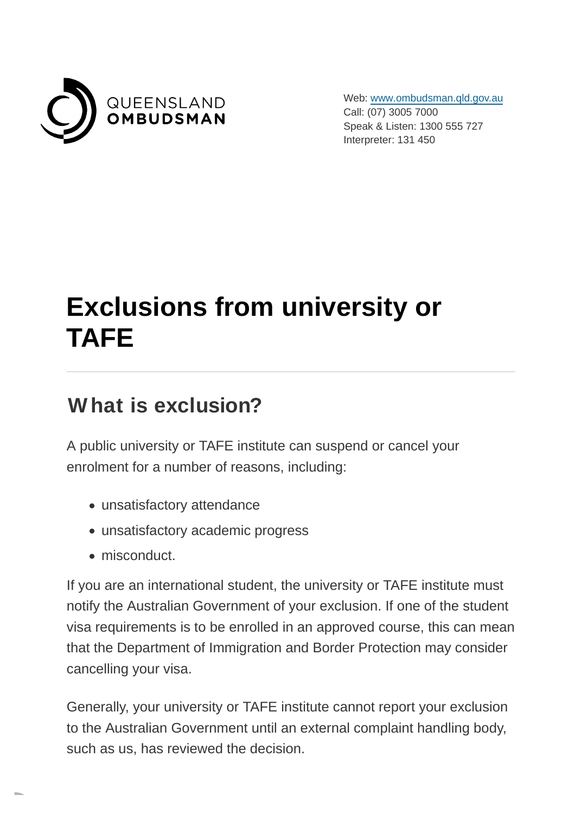

Web: [www.ombudsman.qld.gov.au](https://www.ombudsman.qld.gov.au/) Call: (07) 3005 7000 Speak & Listen: 1300 555 727 Interpreter: 131 450

# **Exclusions from university or TAFE**

#### **What is exclusion?**

A public university or TAFE institute can suspend or cancel your enrolment for a number of reasons, including:

- unsatisfactory attendance
- unsatisfactory academic progress
- misconduct.

If you are an international student, the university or TAFE institute must notify the Australian Government of your exclusion. If one of the student visa requirements is to be enrolled in an approved course, this can mean that the Department of Immigration and Border Protection may consider cancelling your visa.

Generally, your university or TAFE institute cannot report your exclusion to the Australian Government until an external complaint handling body, such as us, has reviewed the decision.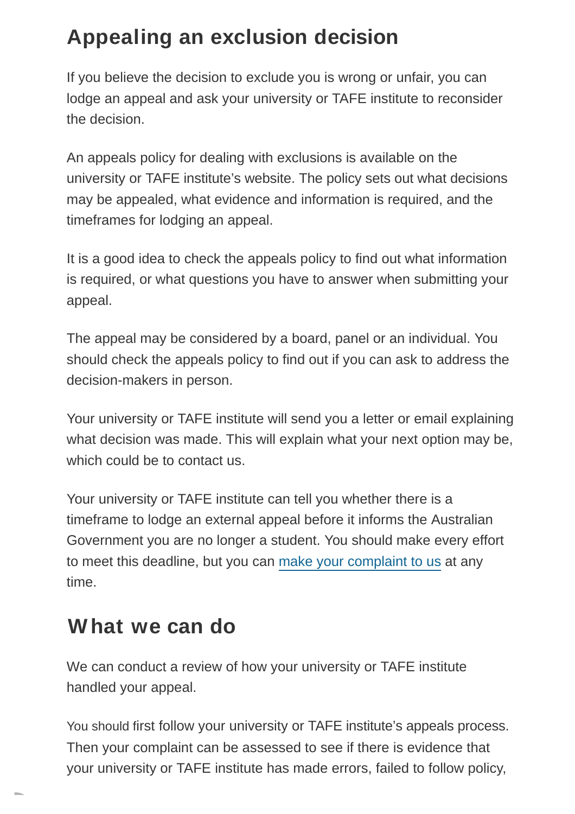### **Appealing an exclusion decision**

If you believe the decision to exclude you is wrong or unfair, you can lodge an appeal and ask your university or TAFE institute to reconsider the decision.

An appeals policy for dealing with exclusions is available on the university or TAFE institute's website. The policy sets out what decisions may be appealed, what evidence and information is required, and the timeframes for lodging an appeal.

It is a good idea to check the appeals policy to find out what information is required, or what questions you have to answer when submitting your appeal.

The appeal may be considered by a board, panel or an individual. You should check the appeals policy to find out if you can ask to address the decision-makers in person.

Your university or TAFE institute will send you a letter or email explaining what decision was made. This will explain what your next option may be, which could be to contact us.

Your university or TAFE institute can tell you whether there is a timeframe to lodge an external appeal before it informs the Australian Government you are no longer a student. You should make every effort to meet this deadline, but you can [make your complaint to us](https://www.ombudsman.qld.gov.au/how-to-complain/make-a-complaint/make-a-complaint) at any time.

#### **What we can do**

We can conduct a review of how your university or TAFE institute handled your appeal.

You should first follow your university or TAFE institute's appeals process. Then your complaint can be assessed to see if there is evidence that your university or TAFE institute has made errors, failed to follow policy,